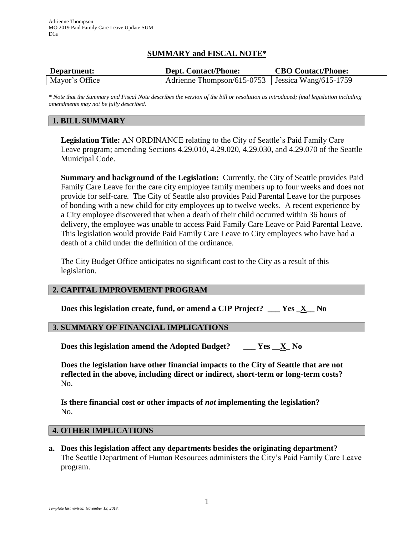# **SUMMARY and FISCAL NOTE\***

| Department:    | <b>Dept. Contact/Phone:</b>                        | <b>CBO Contact/Phone:</b> |
|----------------|----------------------------------------------------|---------------------------|
| Mayor's Office | Adrienne Thompson/615-0753   Jessica Wang/615-1759 |                           |

*\* Note that the Summary and Fiscal Note describes the version of the bill or resolution as introduced; final legislation including amendments may not be fully described.*

### **1. BILL SUMMARY**

**Legislation Title:** AN ORDINANCE relating to the City of Seattle's Paid Family Care Leave program; amending Sections 4.29.010, 4.29.020, 4.29.030, and 4.29.070 of the Seattle Municipal Code.

**Summary and background of the Legislation:** Currently, the City of Seattle provides Paid Family Care Leave for the care city employee family members up to four weeks and does not provide for self-care. The City of Seattle also provides Paid Parental Leave for the purposes of bonding with a new child for city employees up to twelve weeks. A recent experience by a City employee discovered that when a death of their child occurred within 36 hours of delivery, the employee was unable to access Paid Family Care Leave or Paid Parental Leave. This legislation would provide Paid Family Care Leave to City employees who have had a death of a child under the definition of the ordinance.

The City Budget Office anticipates no significant cost to the City as a result of this legislation.

## **2. CAPITAL IMPROVEMENT PROGRAM**

**Does this legislation create, fund, or amend a CIP Project? \_\_\_ Yes \_X\_\_ No**

#### **3. SUMMARY OF FINANCIAL IMPLICATIONS**

**Does this legislation amend the Adopted Budget? \_\_\_ Yes \_\_X\_ No**

**Does the legislation have other financial impacts to the City of Seattle that are not reflected in the above, including direct or indirect, short-term or long-term costs?** No.

**Is there financial cost or other impacts of** *not* **implementing the legislation?** No.

#### **4. OTHER IMPLICATIONS**

**a. Does this legislation affect any departments besides the originating department?** The Seattle Department of Human Resources administers the City's Paid Family Care Leave program.